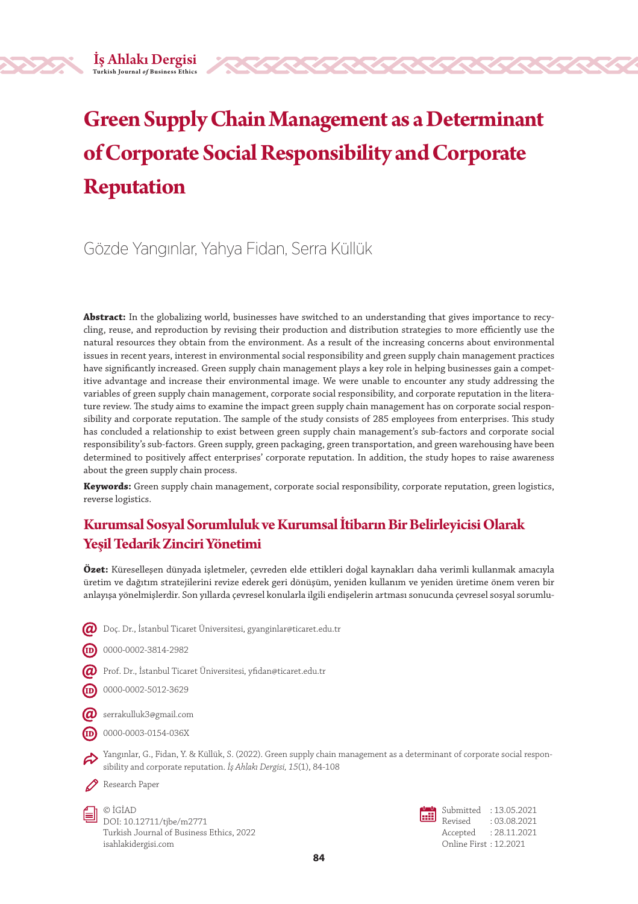# **Green Supply Chain Management as a Determinant of Corporate Social Responsibility and Corporate Reputation**

## Gözde Yangınlar, Yahya Fidan, Serra Küllük

**Abstract:** In the globalizing world, businesses have switched to an understanding that gives importance to recycling, reuse, and reproduction by revising their production and distribution strategies to more efficiently use the natural resources they obtain from the environment. As a result of the increasing concerns about environmental issues in recent years, interest in environmental social responsibility and green supply chain management practices have significantly increased. Green supply chain management plays a key role in helping businesses gain a competitive advantage and increase their environmental image. We were unable to encounter any study addressing the variables of green supply chain management, corporate social responsibility, and corporate reputation in the literature review. The study aims to examine the impact green supply chain management has on corporate social responsibility and corporate reputation. The sample of the study consists of 285 employees from enterprises. This study has concluded a relationship to exist between green supply chain management's sub-factors and corporate social responsibility's sub-factors. Green supply, green packaging, green transportation, and green warehousing have been determined to positively affect enterprises' corporate reputation. In addition, the study hopes to raise awareness about the green supply chain process.

**Keywords:** Green supply chain management, corporate social responsibility, corporate reputation, green logistics, reverse logistics.

## **Kurumsal Sosyal Sorumluluk ve Kurumsal İtibarın Bir Belirleyicisi Olarak Yeşil Tedarik Zinciri Yönetimi**

**Özet:** Küreselleşen dünyada işletmeler, çevreden elde ettikleri doğal kaynakları daha verimli kullanmak amacıyla üretim ve dağıtım stratejilerini revize ederek geri dönüşüm, yeniden kullanım ve yeniden üretime önem veren bir anlayışa yönelmişlerdir. Son yıllarda çevresel konularla ilgili endişelerin artması sonucunda çevresel sosyal sorumlu-

 $\bm{Q}$  Doç. Dr., İstanbul Ticaret Üniversitesi, gyanginlar@ticaret.edu.tr



- $\bm{Q}$  Prof. Dr., İstanbul Ticaret Üniversitesi, yfidan@ticaret.edu.tr
- 0000-0002-5012-3629
- $\varpi$  serrakulluk3@gmail.com
- $(D)$  0000-0003-0154-036X

Yangınlar, G., Fidan, Y. & Küllük, S. (2022). Green supply chain management as a determinant of corporate social responsibility and corporate reputation. *İş Ahlakı Dergisi, 15*(1), 84-108

Research Paper

© İGİAD DOI: 10.12711/tjbe/m2771 Turkish Journal of Business Ethics, 2022 isahlakidergisi.com

Submitted : 13.05.2021 Revised : 03.08.2021 Accepted : 28.11.2021 Online First : 12.2021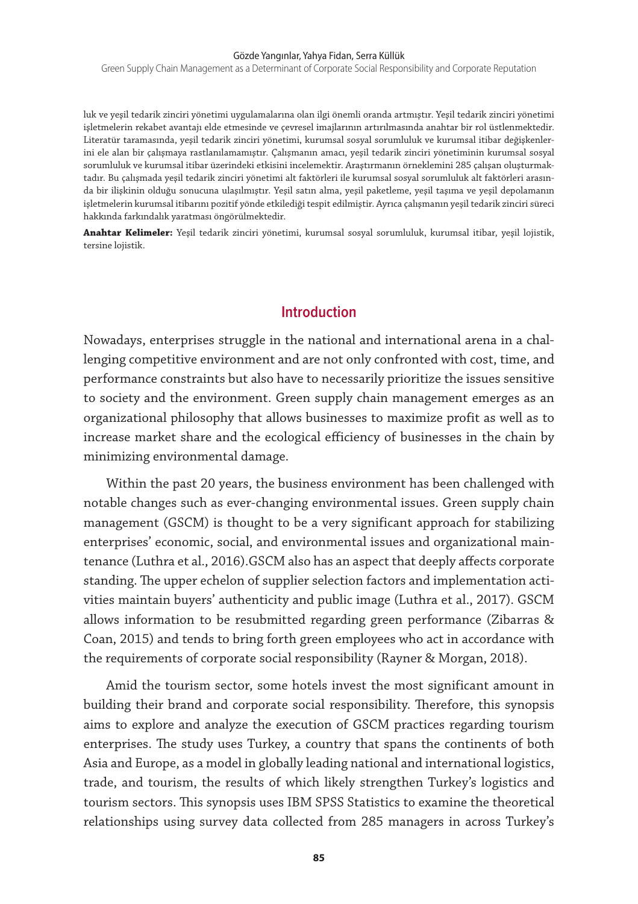Green Supply Chain Management as a Determinant of Corporate Social Responsibility and Corporate Reputation

luk ve yeşil tedarik zinciri yönetimi uygulamalarına olan ilgi önemli oranda artmıştır. Yeşil tedarik zinciri yönetimi işletmelerin rekabet avantajı elde etmesinde ve çevresel imajlarının artırılmasında anahtar bir rol üstlenmektedir. Literatür taramasında, yeşil tedarik zinciri yönetimi, kurumsal sosyal sorumluluk ve kurumsal itibar değişkenlerini ele alan bir çalışmaya rastlanılamamıştır. Çalışmanın amacı, yeşil tedarik zinciri yönetiminin kurumsal sosyal sorumluluk ve kurumsal itibar üzerindeki etkisini incelemektir. Araştırmanın örneklemini 285 çalışan oluşturmaktadır. Bu çalışmada yeşil tedarik zinciri yönetimi alt faktörleri ile kurumsal sosyal sorumluluk alt faktörleri arasında bir ilişkinin olduğu sonucuna ulaşılmıştır. Yeşil satın alma, yeşil paketleme, yeşil taşıma ve yeşil depolamanın işletmelerin kurumsal itibarını pozitif yönde etkilediği tespit edilmiştir. Ayrıca çalışmanın yeşil tedarik zinciri süreci hakkında farkındalık yaratması öngörülmektedir.

**Anahtar Kelimeler:** Yeşil tedarik zinciri yönetimi, kurumsal sosyal sorumluluk, kurumsal itibar, yeşil lojistik, tersine lojistik.

#### **Introduction**

Nowadays, enterprises struggle in the national and international arena in a challenging competitive environment and are not only confronted with cost, time, and performance constraints but also have to necessarily prioritize the issues sensitive to society and the environment. Green supply chain management emerges as an organizational philosophy that allows businesses to maximize profit as well as to increase market share and the ecological efficiency of businesses in the chain by minimizing environmental damage.

Within the past 20 years, the business environment has been challenged with notable changes such as ever-changing environmental issues. Green supply chain management (GSCM) is thought to be a very significant approach for stabilizing enterprises' economic, social, and environmental issues and organizational maintenance (Luthra et al., 2016).GSCM also has an aspect that deeply affects corporate standing. The upper echelon of supplier selection factors and implementation activities maintain buyers' authenticity and public image (Luthra et al., 2017). GSCM allows information to be resubmitted regarding green performance (Zibarras & Coan, 2015) and tends to bring forth green employees who act in accordance with the requirements of corporate social responsibility (Rayner & Morgan, 2018).

Amid the tourism sector, some hotels invest the most significant amount in building their brand and corporate social responsibility. Therefore, this synopsis aims to explore and analyze the execution of GSCM practices regarding tourism enterprises. The study uses Turkey, a country that spans the continents of both Asia and Europe, as a model in globally leading national and international logistics, trade, and tourism, the results of which likely strengthen Turkey's logistics and tourism sectors. This synopsis uses IBM SPSS Statistics to examine the theoretical relationships using survey data collected from 285 managers in across Turkey's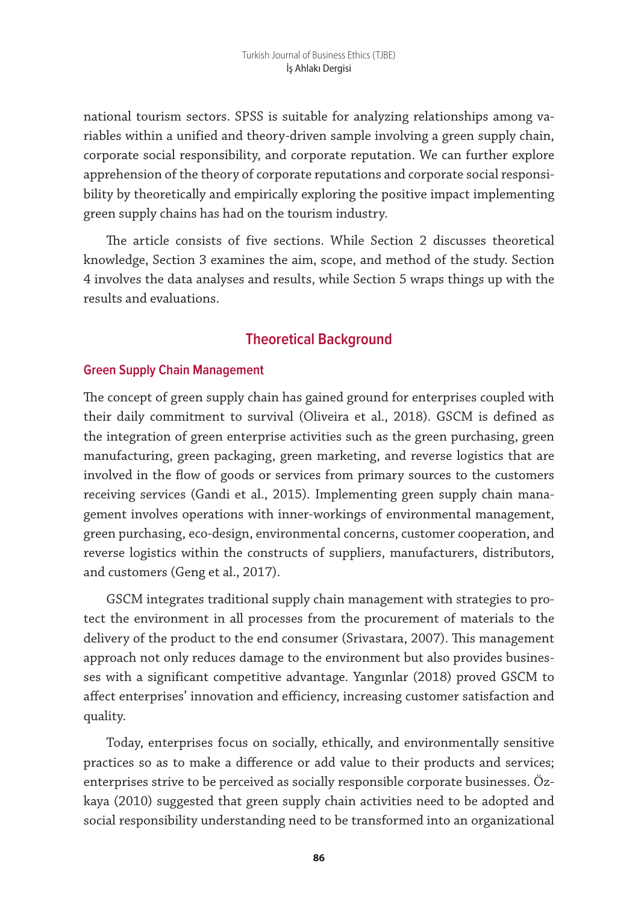national tourism sectors. SPSS is suitable for analyzing relationships among variables within a unified and theory-driven sample involving a green supply chain, corporate social responsibility, and corporate reputation. We can further explore apprehension of the theory of corporate reputations and corporate social responsibility by theoretically and empirically exploring the positive impact implementing green supply chains has had on the tourism industry.

The article consists of five sections. While Section 2 discusses theoretical knowledge, Section 3 examines the aim, scope, and method of the study. Section 4 involves the data analyses and results, while Section 5 wraps things up with the results and evaluations.

### **Theoretical Background**

#### **Green Supply Chain Management**

The concept of green supply chain has gained ground for enterprises coupled with their daily commitment to survival (Oliveira et al., 2018). GSCM is defined as the integration of green enterprise activities such as the green purchasing, green manufacturing, green packaging, green marketing, and reverse logistics that are involved in the flow of goods or services from primary sources to the customers receiving services (Gandi et al., 2015). Implementing green supply chain management involves operations with inner-workings of environmental management, green purchasing, eco-design, environmental concerns, customer cooperation, and reverse logistics within the constructs of suppliers, manufacturers, distributors, and customers (Geng et al., 2017).

GSCM integrates traditional supply chain management with strategies to protect the environment in all processes from the procurement of materials to the delivery of the product to the end consumer (Srivastara, 2007). This management approach not only reduces damage to the environment but also provides businesses with a significant competitive advantage. Yangınlar (2018) proved GSCM to affect enterprises' innovation and efficiency, increasing customer satisfaction and quality.

Today, enterprises focus on socially, ethically, and environmentally sensitive practices so as to make a difference or add value to their products and services; enterprises strive to be perceived as socially responsible corporate businesses. Özkaya (2010) suggested that green supply chain activities need to be adopted and social responsibility understanding need to be transformed into an organizational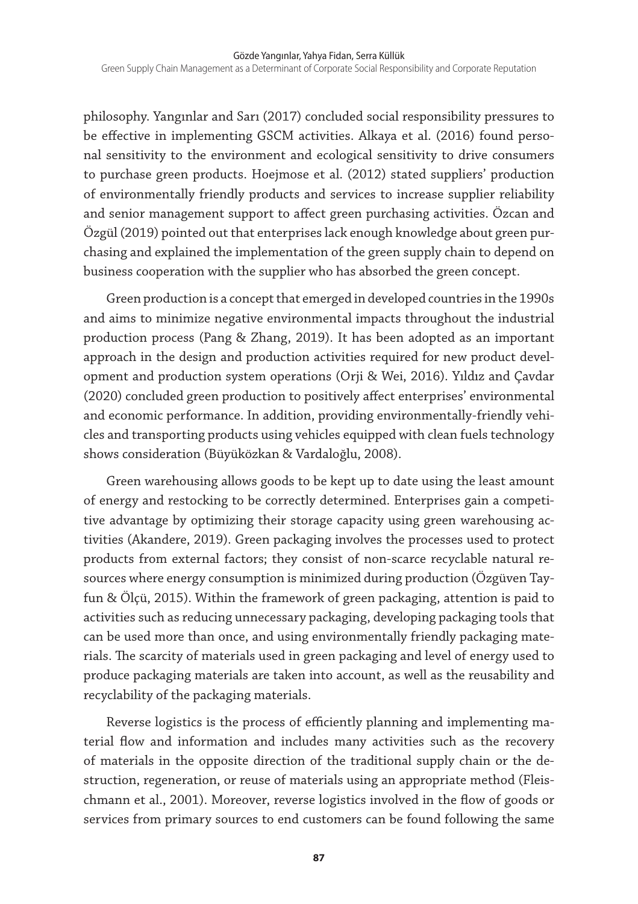philosophy. Yangınlar and Sarı (2017) concluded social responsibility pressures to be effective in implementing GSCM activities. Alkaya et al. (2016) found personal sensitivity to the environment and ecological sensitivity to drive consumers to purchase green products. Hoejmose et al. (2012) stated suppliers' production of environmentally friendly products and services to increase supplier reliability and senior management support to affect green purchasing activities. Özcan and Özgül (2019) pointed out that enterprises lack enough knowledge about green purchasing and explained the implementation of the green supply chain to depend on business cooperation with the supplier who has absorbed the green concept.

Green production is a concept that emerged in developed countries in the 1990s and aims to minimize negative environmental impacts throughout the industrial production process (Pang & Zhang, 2019). It has been adopted as an important approach in the design and production activities required for new product development and production system operations (Orji & Wei, 2016). Yıldız and Çavdar (2020) concluded green production to positively affect enterprises' environmental and economic performance. In addition, providing environmentally-friendly vehicles and transporting products using vehicles equipped with clean fuels technology shows consideration (Büyüközkan & Vardaloğlu, 2008).

Green warehousing allows goods to be kept up to date using the least amount of energy and restocking to be correctly determined. Enterprises gain a competitive advantage by optimizing their storage capacity using green warehousing activities (Akandere, 2019). Green packaging involves the processes used to protect products from external factors; they consist of non-scarce recyclable natural resources where energy consumption is minimized during production (Özgüven Tayfun & Ölçü, 2015). Within the framework of green packaging, attention is paid to activities such as reducing unnecessary packaging, developing packaging tools that can be used more than once, and using environmentally friendly packaging materials. The scarcity of materials used in green packaging and level of energy used to produce packaging materials are taken into account, as well as the reusability and recyclability of the packaging materials.

Reverse logistics is the process of efficiently planning and implementing material flow and information and includes many activities such as the recovery of materials in the opposite direction of the traditional supply chain or the destruction, regeneration, or reuse of materials using an appropriate method (Fleischmann et al., 2001). Moreover, reverse logistics involved in the flow of goods or services from primary sources to end customers can be found following the same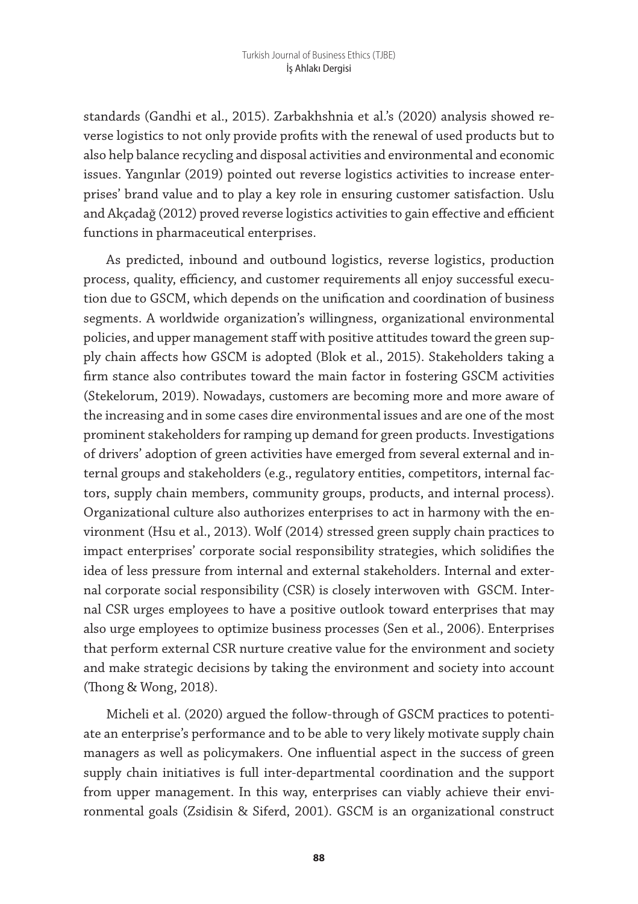standards (Gandhi et al., 2015). Zarbakhshnia et al.'s (2020) analysis showed reverse logistics to not only provide profits with the renewal of used products but to also help balance recycling and disposal activities and environmental and economic issues. Yangınlar (2019) pointed out reverse logistics activities to increase enterprises' brand value and to play a key role in ensuring customer satisfaction. Uslu and Akçadağ (2012) proved reverse logistics activities to gain effective and efficient functions in pharmaceutical enterprises.

As predicted, inbound and outbound logistics, reverse logistics, production process, quality, efficiency, and customer requirements all enjoy successful execution due to GSCM, which depends on the unification and coordination of business segments. A worldwide organization's willingness, organizational environmental policies, and upper management staff with positive attitudes toward the green supply chain affects how GSCM is adopted (Blok et al., 2015). Stakeholders taking a firm stance also contributes toward the main factor in fostering GSCM activities (Stekelorum, 2019). Nowadays, customers are becoming more and more aware of the increasing and in some cases dire environmental issues and are one of the most prominent stakeholders for ramping up demand for green products. Investigations of drivers' adoption of green activities have emerged from several external and internal groups and stakeholders (e.g., regulatory entities, competitors, internal factors, supply chain members, community groups, products, and internal process). Organizational culture also authorizes enterprises to act in harmony with the environment (Hsu et al., 2013). Wolf (2014) stressed green supply chain practices to impact enterprises' corporate social responsibility strategies, which solidifies the idea of less pressure from internal and external stakeholders. Internal and external corporate social responsibility (CSR) is closely interwoven with GSCM. Internal CSR urges employees to have a positive outlook toward enterprises that may also urge employees to optimize business processes (Sen et al., 2006). Enterprises that perform external CSR nurture creative value for the environment and society and make strategic decisions by taking the environment and society into account (Thong & Wong, 2018).

Micheli et al. (2020) argued the follow-through of GSCM practices to potentiate an enterprise's performance and to be able to very likely motivate supply chain managers as well as policymakers. One influential aspect in the success of green supply chain initiatives is full inter-departmental coordination and the support from upper management. In this way, enterprises can viably achieve their environmental goals (Zsidisin & Siferd, 2001). GSCM is an organizational construct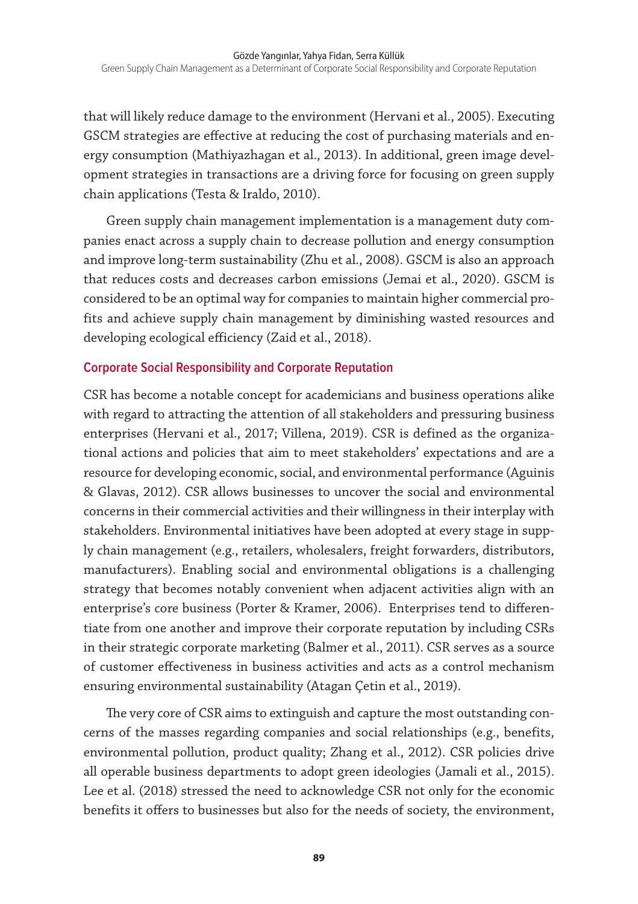that will likely reduce damage to the environment (Hervani et al., 2005). Executing GSCM strategies are effective at reducing the cost of purchasing materials and energy consumption (Mathiyazhagan et al., 2013). In additional, green image development strategies in transactions are a driving force for focusing on green supply chain applications (Testa & Iraldo, 2010).

Green supply chain management implementation is a management duty companies enact across a supply chain to decrease pollution and energy consumption and improve long-term sustainability (Zhu et al., 2008). GSCM is also an approach that reduces costs and decreases carbon emissions (Jemai et al., 2020). GSCM is considered to be an optimal way for companies to maintain higher commercial profits and achieve supply chain management by diminishing wasted resources and developing ecological efficiency (Zaid et al., 2018).

#### **Corporate Social Responsibility and Corporate Reputation**

CSR has become a notable concept for academicians and business operations alike with regard to attracting the attention of all stakeholders and pressuring business enterprises (Hervani et al., 2017; Villena, 2019). CSR is defined as the organizational actions and policies that aim to meet stakeholders' expectations and are a resource for developing economic, social, and environmental performance (Aguinis & Glavas, 2012). CSR allows businesses to uncover the social and environmental concerns in their commercial activities and their willingness in their interplay with stakeholders. Environmental initiatives have been adopted at every stage in supply chain management (e.g., retailers, wholesalers, freight forwarders, distributors, manufacturers). Enabling social and environmental obligations is a challenging strategy that becomes notably convenient when adjacent activities align with an enterprise's core business (Porter & Kramer, 2006). Enterprises tend to differentiate from one another and improve their corporate reputation by including CSRs in their strategic corporate marketing (Balmer et al., 2011). CSR serves as a source of customer effectiveness in business activities and acts as a control mechanism ensuring environmental sustainability (Atagan Çetin et al., 2019).

The very core of CSR aims to extinguish and capture the most outstanding concerns of the masses regarding companies and social relationships (e.g., benefits, environmental pollution, product quality; Zhang et al., 2012). CSR policies drive all operable business departments to adopt green ideologies (Jamali et al., 2015). Lee et al. (2018) stressed the need to acknowledge CSR not only for the economic benefits it offers to businesses but also for the needs of society, the environment,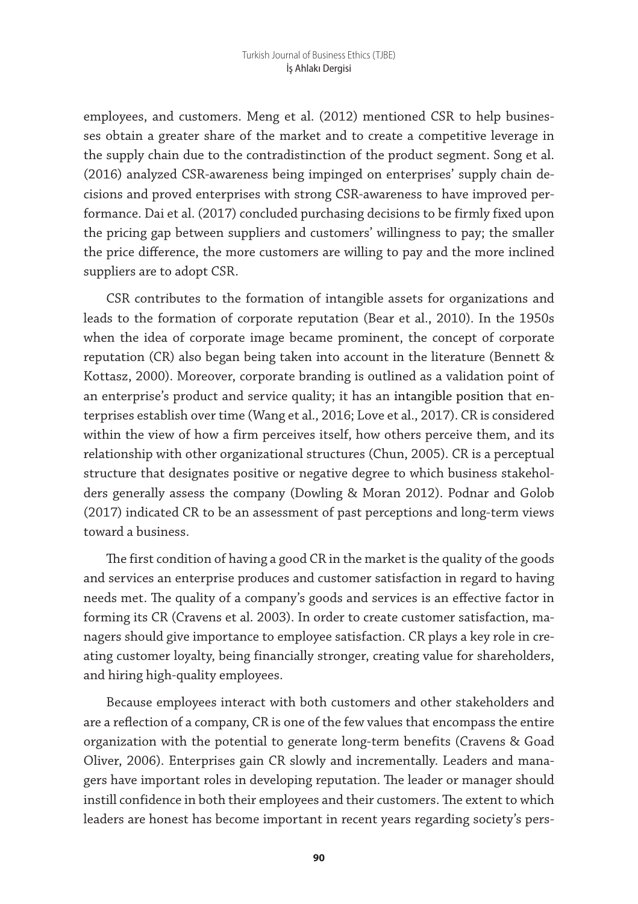employees, and customers. Meng et al. (2012) mentioned CSR to help businesses obtain a greater share of the market and to create a competitive leverage in the supply chain due to the contradistinction of the product segment. Song et al. (2016) analyzed CSR-awareness being impinged on enterprises' supply chain decisions and proved enterprises with strong CSR-awareness to have improved performance. Dai et al. (2017) concluded purchasing decisions to be firmly fixed upon the pricing gap between suppliers and customers' willingness to pay; the smaller the price difference, the more customers are willing to pay and the more inclined suppliers are to adopt CSR.

CSR contributes to the formation of intangible assets for organizations and leads to the formation of corporate reputation (Bear et al., 2010). In the 1950s when the idea of corporate image became prominent, the concept of corporate reputation (CR) also began being taken into account in the literature (Bennett & Kottasz, 2000). Moreover, corporate branding is outlined as a validation point of an enterprise's product and service quality; it has an intangible position that enterprises establish over time (Wang et al., 2016; Love et al., 2017). CR is considered within the view of how a firm perceives itself, how others perceive them, and its relationship with other organizational structures (Chun, 2005). CR is a perceptual structure that designates positive or negative degree to which business stakeholders generally assess the company (Dowling & Moran 2012). Podnar and Golob (2017) indicated CR to be an assessment of past perceptions and long-term views toward a business.

The first condition of having a good CR in the market is the quality of the goods and services an enterprise produces and customer satisfaction in regard to having needs met. The quality of a company's goods and services is an effective factor in forming its CR (Cravens et al. 2003). In order to create customer satisfaction, managers should give importance to employee satisfaction. CR plays a key role in creating customer loyalty, being financially stronger, creating value for shareholders, and hiring high-quality employees.

Because employees interact with both customers and other stakeholders and are a reflection of a company, CR is one of the few values that encompass the entire organization with the potential to generate long-term benefits (Cravens & Goad Oliver, 2006). Enterprises gain CR slowly and incrementally. Leaders and managers have important roles in developing reputation. The leader or manager should instill confidence in both their employees and their customers. The extent to which leaders are honest has become important in recent years regarding society's pers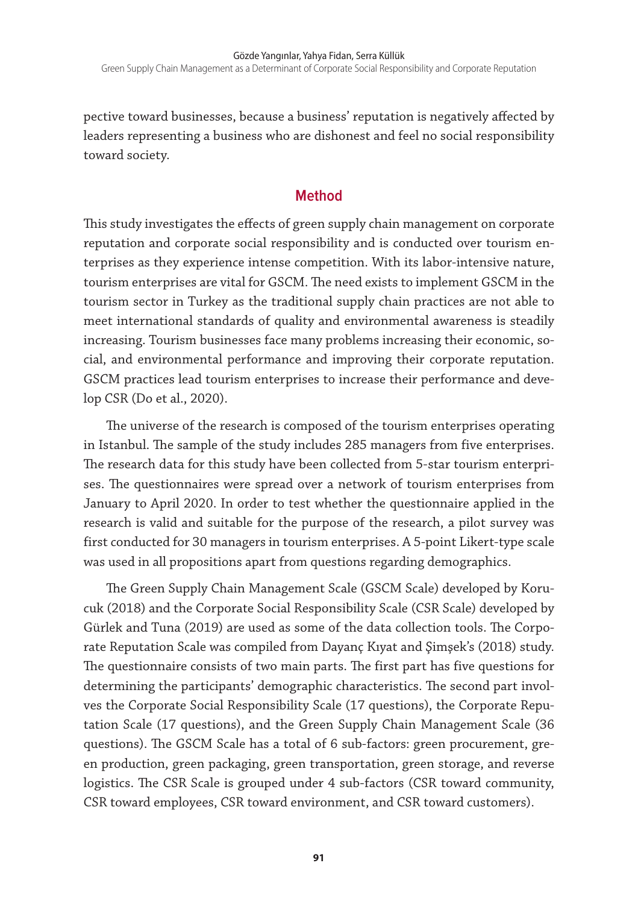pective toward businesses, because a business' reputation is negatively affected by leaders representing a business who are dishonest and feel no social responsibility toward society.

#### **Method**

This study investigates the effects of green supply chain management on corporate reputation and corporate social responsibility and is conducted over tourism enterprises as they experience intense competition. With its labor-intensive nature, tourism enterprises are vital for GSCM. The need exists to implement GSCM in the tourism sector in Turkey as the traditional supply chain practices are not able to meet international standards of quality and environmental awareness is steadily increasing. Tourism businesses face many problems increasing their economic, social, and environmental performance and improving their corporate reputation. GSCM practices lead tourism enterprises to increase their performance and develop CSR (Do et al., 2020).

The universe of the research is composed of the tourism enterprises operating in Istanbul. The sample of the study includes 285 managers from five enterprises. The research data for this study have been collected from 5-star tourism enterprises. The questionnaires were spread over a network of tourism enterprises from January to April 2020. In order to test whether the questionnaire applied in the research is valid and suitable for the purpose of the research, a pilot survey was first conducted for 30 managers in tourism enterprises. A 5-point Likert-type scale was used in all propositions apart from questions regarding demographics.

The Green Supply Chain Management Scale (GSCM Scale) developed by Korucuk (2018) and the Corporate Social Responsibility Scale (CSR Scale) developed by Gürlek and Tuna (2019) are used as some of the data collection tools. The Corporate Reputation Scale was compiled from Dayanç Kıyat and Şimşek's (2018) study. The questionnaire consists of two main parts. The first part has five questions for determining the participants' demographic characteristics. The second part involves the Corporate Social Responsibility Scale (17 questions), the Corporate Reputation Scale (17 questions), and the Green Supply Chain Management Scale (36 questions). The GSCM Scale has a total of 6 sub-factors: green procurement, green production, green packaging, green transportation, green storage, and reverse logistics. The CSR Scale is grouped under 4 sub-factors (CSR toward community, CSR toward employees, CSR toward environment, and CSR toward customers).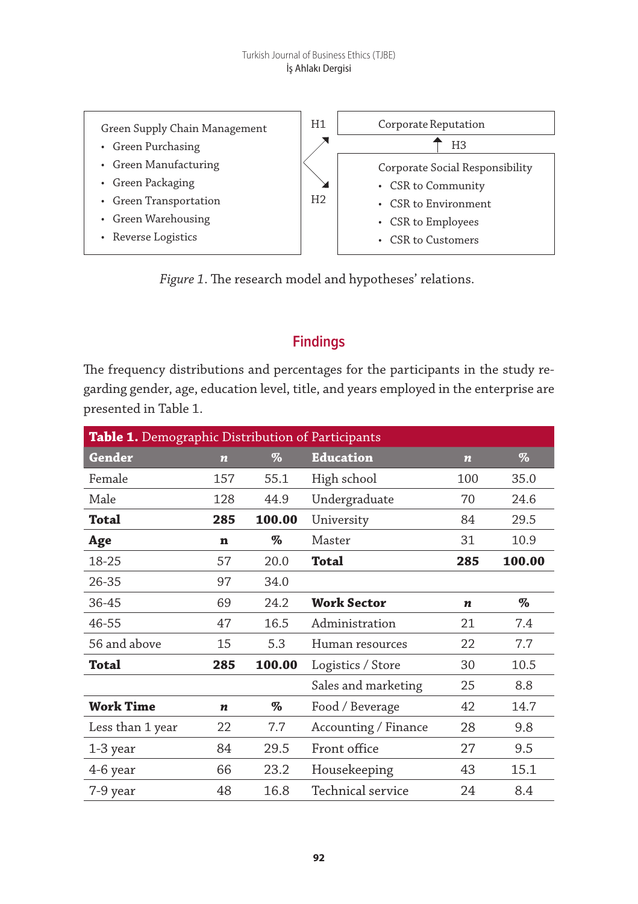

*Figure 1*. The research model and hypotheses' relations.

## **Findings**

The frequency distributions and percentages for the participants in the study regarding gender, age, education level, title, and years employed in the enterprise are presented in Table 1.

| Table 1. Demographic Distribution of Participants |                    |        |                      |                  |        |  |  |  |
|---------------------------------------------------|--------------------|--------|----------------------|------------------|--------|--|--|--|
| Gender                                            | $\overline{\bf n}$ | $\%$   | <b>Education</b>     | $\boldsymbol{n}$ | $\%$   |  |  |  |
| Female                                            | 157                | 55.1   | High school          | 100              | 35.0   |  |  |  |
| Male                                              | 128                | 44.9   | Undergraduate        | 70               | 24.6   |  |  |  |
| Total                                             | 285                | 100.00 | University           | 84               | 29.5   |  |  |  |
| Age                                               | n                  | %      | Master               | 31               | 10.9   |  |  |  |
| 18-25                                             | 57                 | 20.0   | Total                | 285              | 100.00 |  |  |  |
| 26-35                                             | 97                 | 34.0   |                      |                  |        |  |  |  |
| 36-45                                             | 69                 | 24.2   | <b>Work Sector</b>   | $\boldsymbol{n}$ | $\%$   |  |  |  |
| 46-55                                             | 47                 | 16.5   | Administration       | 21               | 7.4    |  |  |  |
| 56 and above                                      | 15                 | 5.3    | Human resources      | 22               | 7.7    |  |  |  |
| Total                                             | 285                | 100.00 | Logistics / Store    | 30               | 10.5   |  |  |  |
|                                                   |                    |        | Sales and marketing  | 25               | 8.8    |  |  |  |
| <b>Work Time</b>                                  | n                  | $\%$   | Food / Beverage      | 42               | 14.7   |  |  |  |
| Less than 1 year                                  | 22                 | 7.7    | Accounting / Finance | 28               | 9.8    |  |  |  |
| 1-3 year                                          | 84                 | 29.5   | Front office         | 27               | 9.5    |  |  |  |
| 4-6 year                                          | 66                 | 23.2   | Housekeeping         | 43               | 15.1   |  |  |  |
| 7-9 year                                          | 48                 | 16.8   | Technical service    | 24               | 8.4    |  |  |  |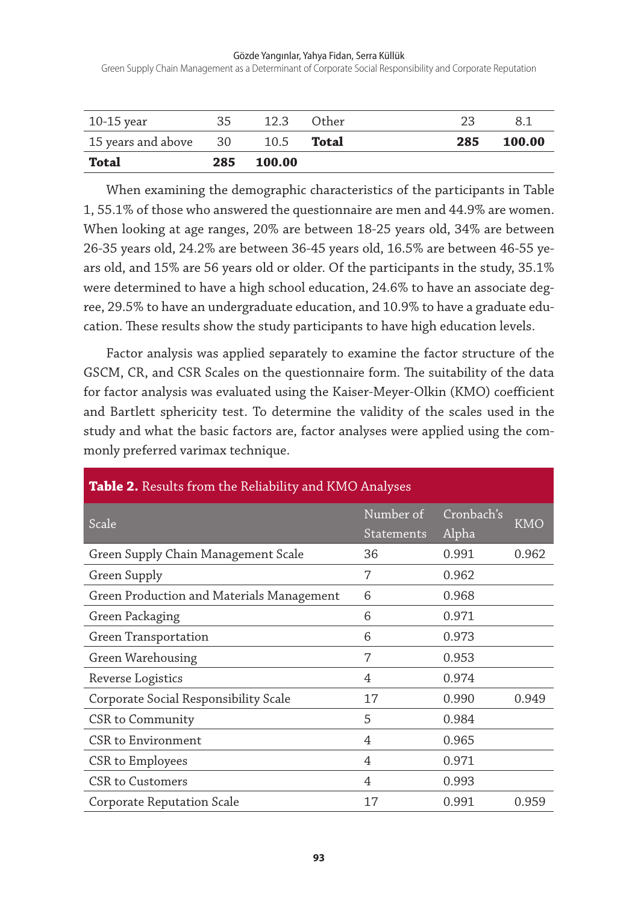Green Supply Chain Management as a Determinant of Corporate Social Responsibility and Corporate Reputation

| 10-15 year            | 35  | 12.3 Other        | 23  | 8.1    |
|-----------------------|-----|-------------------|-----|--------|
| 15 years and above 30 |     | 10.5 <b>Total</b> | 285 | 100.00 |
| Total                 | 285 | 100.00            |     |        |

When examining the demographic characteristics of the participants in Table 1, 55.1% of those who answered the questionnaire are men and 44.9% are women. When looking at age ranges, 20% are between 18-25 years old, 34% are between 26-35 years old, 24.2% are between 36-45 years old, 16.5% are between 46-55 years old, and 15% are 56 years old or older. Of the participants in the study, 35.1% were determined to have a high school education, 24.6% to have an associate degree, 29.5% to have an undergraduate education, and 10.9% to have a graduate education. These results show the study participants to have high education levels.

Factor analysis was applied separately to examine the factor structure of the GSCM, CR, and CSR Scales on the questionnaire form. The suitability of the data for factor analysis was evaluated using the Kaiser-Meyer-Olkin (KMO) coefficient and Bartlett sphericity test. To determine the validity of the scales used in the study and what the basic factors are, factor analyses were applied using the commonly preferred varimax technique.

| Table 2. Results from the Reliability and KMO Analyses |                                |                     |            |  |  |  |  |  |
|--------------------------------------------------------|--------------------------------|---------------------|------------|--|--|--|--|--|
| Scale                                                  | Number of<br><b>Statements</b> | Cronbach's<br>Alpha | <b>KMO</b> |  |  |  |  |  |
| Green Supply Chain Management Scale                    | 36                             | 0.991               | 0.962      |  |  |  |  |  |
| Green Supply                                           | 7                              | 0.962               |            |  |  |  |  |  |
| Green Production and Materials Management              | 6                              | 0.968               |            |  |  |  |  |  |
| Green Packaging                                        | 6                              | 0.971               |            |  |  |  |  |  |
| Green Transportation                                   | 6                              | 0.973               |            |  |  |  |  |  |
| Green Warehousing                                      | 7                              | 0.953               |            |  |  |  |  |  |
| Reverse Logistics                                      | $\overline{4}$                 | 0.974               |            |  |  |  |  |  |
| Corporate Social Responsibility Scale                  | 17                             | 0.990               | 0.949      |  |  |  |  |  |
| CSR to Community                                       | 5                              | 0.984               |            |  |  |  |  |  |
| CSR to Environment                                     | 4                              | 0.965               |            |  |  |  |  |  |
| CSR to Employees                                       | 4                              | 0.971               |            |  |  |  |  |  |
| CSR to Customers                                       | 4                              | 0.993               |            |  |  |  |  |  |
| Corporate Reputation Scale                             | 17                             | 0.991               | 0.959      |  |  |  |  |  |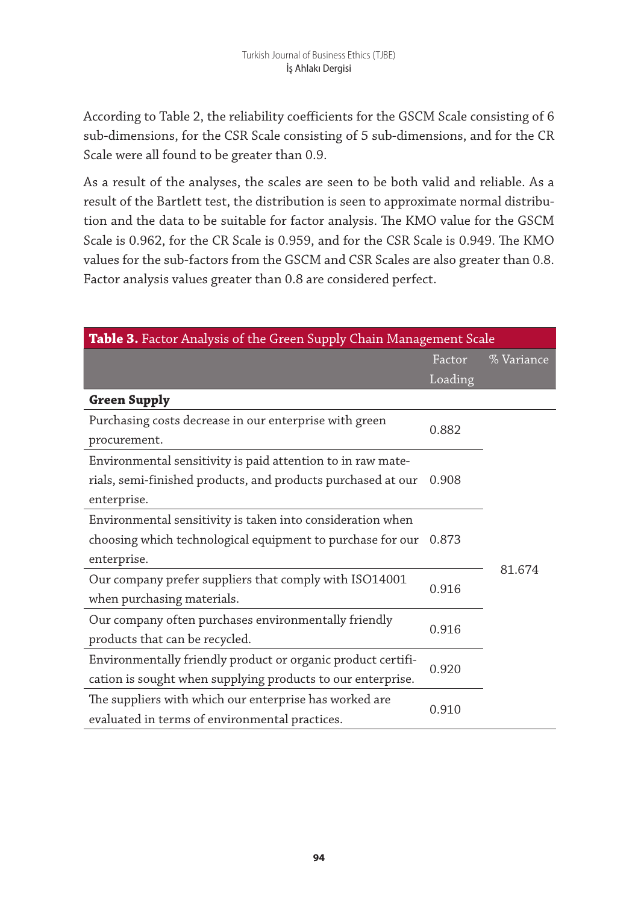According to Table 2, the reliability coefficients for the GSCM Scale consisting of 6 sub-dimensions, for the CSR Scale consisting of 5 sub-dimensions, and for the CR Scale were all found to be greater than 0.9.

As a result of the analyses, the scales are seen to be both valid and reliable. As a result of the Bartlett test, the distribution is seen to approximate normal distribution and the data to be suitable for factor analysis. The KMO value for the GSCM Scale is 0.962, for the CR Scale is 0.959, and for the CSR Scale is 0.949. The KMO values for the sub-factors from the GSCM and CSR Scales are also greater than 0.8. Factor analysis values greater than 0.8 are considered perfect.

| Table 3. Factor Analysis of the Green Supply Chain Management Scale |         |            |  |  |  |  |
|---------------------------------------------------------------------|---------|------------|--|--|--|--|
|                                                                     | Factor  | % Variance |  |  |  |  |
|                                                                     | Loading |            |  |  |  |  |
| <b>Green Supply</b>                                                 |         |            |  |  |  |  |
| Purchasing costs decrease in our enterprise with green              | 0.882   |            |  |  |  |  |
| procurement.                                                        |         |            |  |  |  |  |
| Environmental sensitivity is paid attention to in raw mate-         |         |            |  |  |  |  |
| rials, semi-finished products, and products purchased at our        | 0.908   |            |  |  |  |  |
| enterprise.                                                         |         |            |  |  |  |  |
| Environmental sensitivity is taken into consideration when          |         |            |  |  |  |  |
| choosing which technological equipment to purchase for our          | 0.873   |            |  |  |  |  |
| enterprise.                                                         |         |            |  |  |  |  |
| Our company prefer suppliers that comply with ISO14001              |         | 81.674     |  |  |  |  |
| when purchasing materials.                                          | 0.916   |            |  |  |  |  |
| Our company often purchases environmentally friendly                |         |            |  |  |  |  |
| 0.916<br>products that can be recycled.                             |         |            |  |  |  |  |
| Environmentally friendly product or organic product certifi-        | 0.920   |            |  |  |  |  |
| cation is sought when supplying products to our enterprise.         |         |            |  |  |  |  |
| The suppliers with which our enterprise has worked are              |         |            |  |  |  |  |
| evaluated in terms of environmental practices.                      | 0.910   |            |  |  |  |  |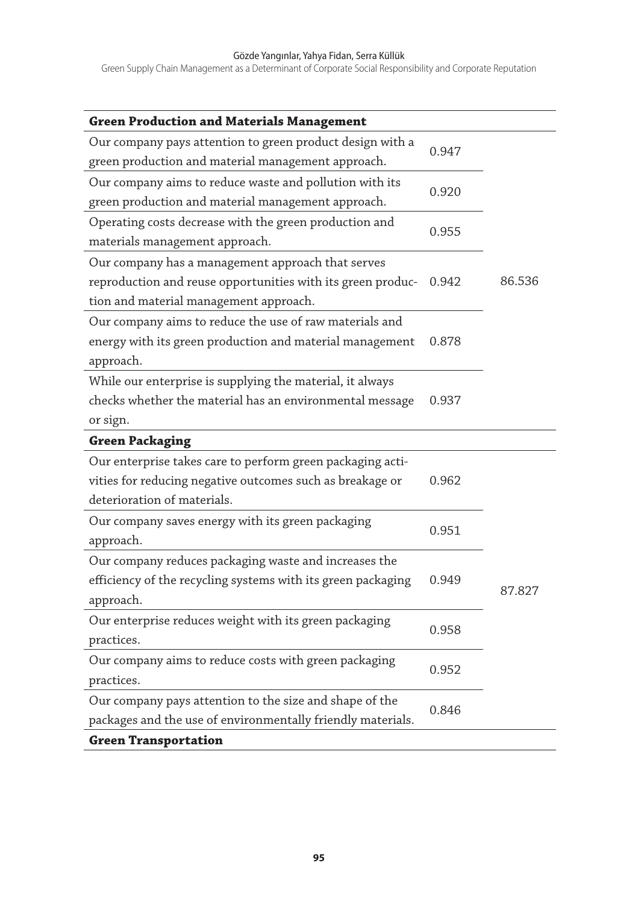Green Supply Chain Management as a Determinant of Corporate Social Responsibility and Corporate Reputation

| <b>Green Production and Materials Management</b>             |       |        |
|--------------------------------------------------------------|-------|--------|
| Our company pays attention to green product design with a    |       |        |
| green production and material management approach.           | 0.947 |        |
| Our company aims to reduce waste and pollution with its      |       |        |
| green production and material management approach.           | 0.920 |        |
| Operating costs decrease with the green production and       |       |        |
| materials management approach.                               | 0.955 |        |
| Our company has a management approach that serves            |       |        |
| reproduction and reuse opportunities with its green produc-  | 0.942 | 86.536 |
| tion and material management approach.                       |       |        |
| Our company aims to reduce the use of raw materials and      |       |        |
| energy with its green production and material management     | 0.878 |        |
| approach.                                                    |       |        |
| While our enterprise is supplying the material, it always    |       |        |
| checks whether the material has an environmental message     | 0.937 |        |
| or sign.                                                     |       |        |
| <b>Green Packaging</b>                                       |       |        |
| Our enterprise takes care to perform green packaging acti-   |       |        |
| vities for reducing negative outcomes such as breakage or    | 0.962 |        |
| deterioration of materials.                                  |       |        |
| Our company saves energy with its green packaging            |       |        |
|                                                              | 0.951 |        |
| approach.                                                    |       |        |
| Our company reduces packaging waste and increases the        |       |        |
| efficiency of the recycling systems with its green packaging | 0.949 |        |
| approach.                                                    |       | 87.827 |
| Our enterprise reduces weight with its green packaging       |       |        |
| practices.                                                   | 0.958 |        |
| Our company aims to reduce costs with green packaging        |       |        |
| practices.                                                   | 0.952 |        |
| Our company pays attention to the size and shape of the      |       |        |
| packages and the use of environmentally friendly materials.  | 0.846 |        |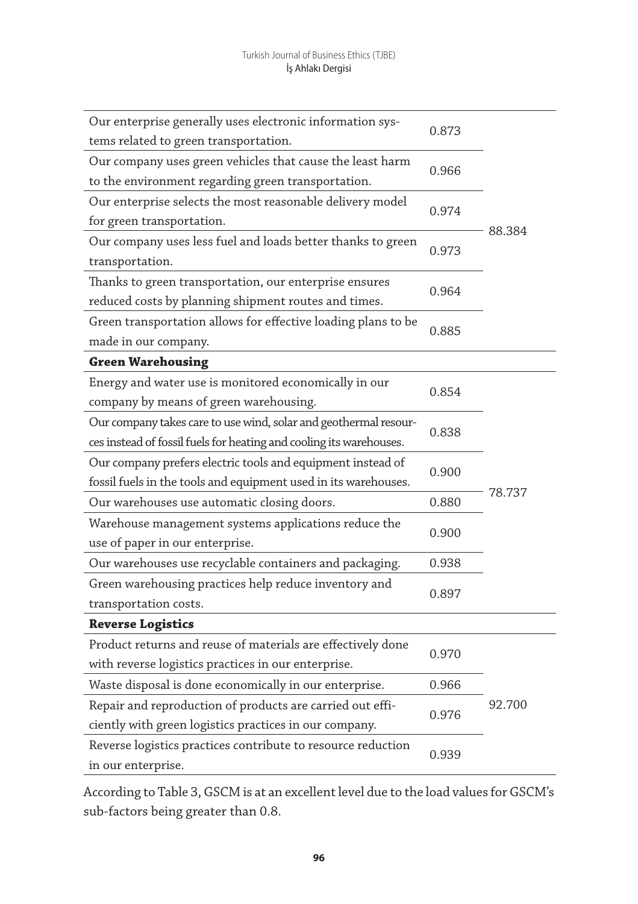| Our enterprise generally uses electronic information sys-           | 0.873 |        |  |
|---------------------------------------------------------------------|-------|--------|--|
| tems related to green transportation.                               |       |        |  |
| Our company uses green vehicles that cause the least harm           | 0.966 |        |  |
| to the environment regarding green transportation.                  |       |        |  |
| Our enterprise selects the most reasonable delivery model           | 0.974 |        |  |
| for green transportation.                                           |       | 88.384 |  |
| Our company uses less fuel and loads better thanks to green         | 0.973 |        |  |
| transportation.                                                     |       |        |  |
| Thanks to green transportation, our enterprise ensures              | 0.964 |        |  |
| reduced costs by planning shipment routes and times.                |       |        |  |
| Green transportation allows for effective loading plans to be       | 0.885 |        |  |
| made in our company.                                                |       |        |  |
| <b>Green Warehousing</b>                                            |       |        |  |
| Energy and water use is monitored economically in our               | 0.854 |        |  |
| company by means of green warehousing.                              |       |        |  |
| Our company takes care to use wind, solar and geothermal resour-    |       |        |  |
| ces instead of fossil fuels for heating and cooling its warehouses. | 0.838 |        |  |
| Our company prefers electric tools and equipment instead of         | 0.900 |        |  |
| fossil fuels in the tools and equipment used in its warehouses.     |       |        |  |
| Our warehouses use automatic closing doors.                         | 0.880 | 78.737 |  |
| Warehouse management systems applications reduce the                |       |        |  |
| use of paper in our enterprise.                                     | 0.900 |        |  |
| Our warehouses use recyclable containers and packaging.             | 0.938 |        |  |
| Green warehousing practices help reduce inventory and               |       |        |  |
| transportation costs.                                               | 0.897 |        |  |
| <b>Reverse Logistics</b>                                            |       |        |  |
| Product returns and reuse of materials are effectively done         |       |        |  |
| with reverse logistics practices in our enterprise.                 | 0.970 |        |  |
| Waste disposal is done economically in our enterprise.              | 0.966 |        |  |
| Repair and reproduction of products are carried out effi-           |       | 92.700 |  |
| ciently with green logistics practices in our company.              | 0.976 |        |  |
| Reverse logistics practices contribute to resource reduction        |       |        |  |
| in our enterprise.                                                  | 0.939 |        |  |

According to Table 3, GSCM is at an excellent level due to the load values for GSCM's sub-factors being greater than 0.8.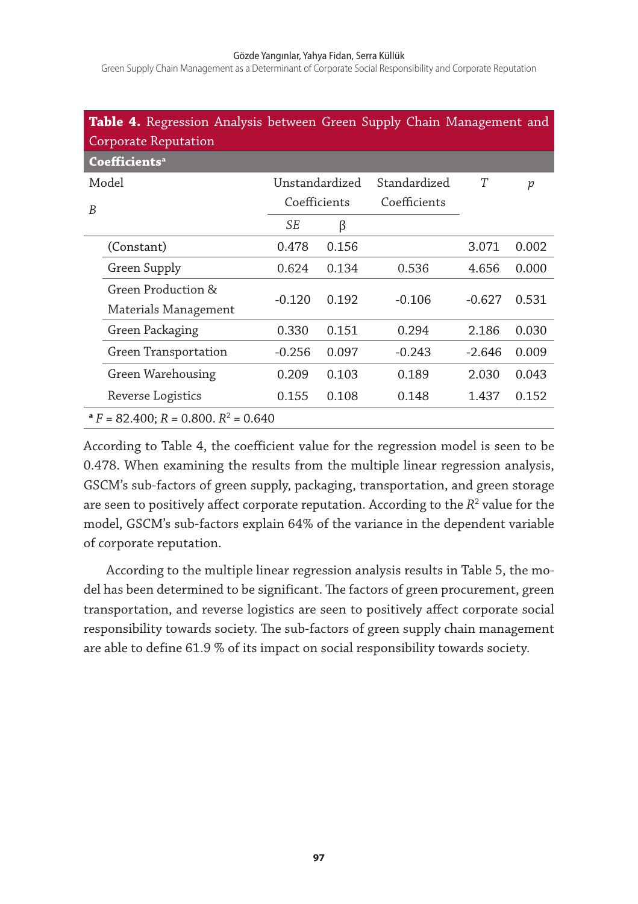Green Supply Chain Management as a Determinant of Corporate Social Responsibility and Corporate Reputation

|   | Table 4. Regression Analysis between Green Supply Chain Management and<br>Corporate Reputation |                |       |              |          |       |  |  |  |
|---|------------------------------------------------------------------------------------------------|----------------|-------|--------------|----------|-------|--|--|--|
|   | Coefficients <sup>a</sup>                                                                      |                |       |              |          |       |  |  |  |
|   | Model                                                                                          | Unstandardized |       | Standardized | T        | p     |  |  |  |
| B |                                                                                                | Coefficients   |       | Coefficients |          |       |  |  |  |
|   |                                                                                                | SE             | β     |              |          |       |  |  |  |
|   | (Constant)                                                                                     | 0.478          | 0.156 |              | 3.071    | 0.002 |  |  |  |
|   | Green Supply                                                                                   | 0.624          | 0.134 | 0.536        | 4.656    | 0.000 |  |  |  |
|   | Green Production &                                                                             | $-0.120$       | 0.192 | $-0.106$     | $-0.627$ | 0.531 |  |  |  |
|   | Materials Management                                                                           |                |       |              |          |       |  |  |  |
|   | Green Packaging                                                                                | 0.330          | 0.151 | 0.294        | 2.186    | 0.030 |  |  |  |
|   | Green Transportation                                                                           | $-0.256$       | 0.097 | $-0.243$     | $-2.646$ | 0.009 |  |  |  |
|   | Green Warehousing                                                                              | 0.209          | 0.103 | 0.189        | 2.030    | 0.043 |  |  |  |
|   | Reverse Logistics                                                                              | 0.155          | 0.108 | 0.148        | 1.437    | 0.152 |  |  |  |
|   | $P = 82.400$ ; $R = 0.800$ . $R^2 = 0.640$                                                     |                |       |              |          |       |  |  |  |

According to Table 4, the coefficient value for the regression model is seen to be 0.478. When examining the results from the multiple linear regression analysis, GSCM's sub-factors of green supply, packaging, transportation, and green storage are seen to positively affect corporate reputation. According to the *R*<sup>2</sup> value for the model, GSCM's sub-factors explain 64% of the variance in the dependent variable of corporate reputation.

According to the multiple linear regression analysis results in Table 5, the model has been determined to be significant. The factors of green procurement, green transportation, and reverse logistics are seen to positively affect corporate social responsibility towards society. The sub-factors of green supply chain management are able to define 61.9 % of its impact on social responsibility towards society.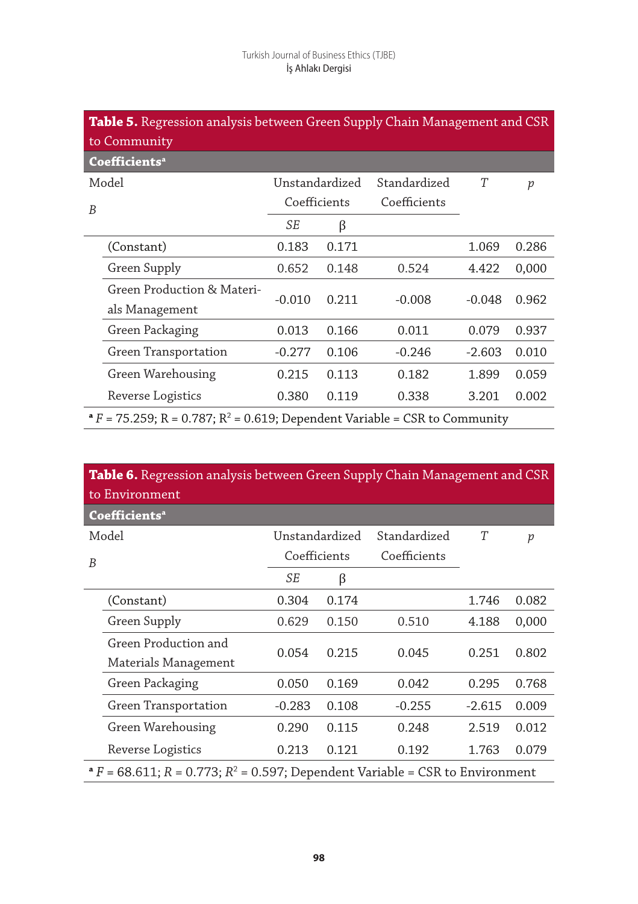|   | Table 5. Regression analysis between Green Supply Chain Management and CSR              |                |       |              |          |                  |  |  |  |
|---|-----------------------------------------------------------------------------------------|----------------|-------|--------------|----------|------------------|--|--|--|
|   | to Community                                                                            |                |       |              |          |                  |  |  |  |
|   | Coefficients <sup>a</sup>                                                               |                |       |              |          |                  |  |  |  |
|   | Model                                                                                   | Unstandardized |       | Standardized | T        | $\boldsymbol{p}$ |  |  |  |
| B |                                                                                         | Coefficients   |       | Coefficients |          |                  |  |  |  |
|   |                                                                                         | SE             | β     |              |          |                  |  |  |  |
|   | (Constant)                                                                              | 0.183          | 0.171 |              | 1.069    | 0.286            |  |  |  |
|   | Green Supply                                                                            | 0.652          | 0.148 | 0.524        | 4.422    | 0,000            |  |  |  |
|   | Green Production & Materi-<br>als Management                                            | $-0.010$       | 0.211 | $-0.008$     | $-0.048$ | 0.962            |  |  |  |
|   | Green Packaging                                                                         | 0.013          | 0.166 | 0.011        | 0.079    | 0.937            |  |  |  |
|   | Green Transportation                                                                    | $-0.277$       | 0.106 | $-0.246$     | $-2.603$ | 0.010            |  |  |  |
|   | Green Warehousing                                                                       | 0.215          | 0.113 | 0.182        | 1.899    | 0.059            |  |  |  |
|   | Reverse Logistics                                                                       | 0.380          | 0.119 | 0.338        | 3.201    | 0.002            |  |  |  |
|   | $P = 75.259$ ; R = 0.787; R <sup>2</sup> = 0.619; Dependent Variable = CSR to Community |                |       |              |          |                  |  |  |  |

|   | Table 6. Regression analysis between Green Supply Chain Management and CSR<br>to Environment |                |       |              |          |       |  |  |
|---|----------------------------------------------------------------------------------------------|----------------|-------|--------------|----------|-------|--|--|
|   | Coefficients <sup>a</sup>                                                                    |                |       |              |          |       |  |  |
|   | Model                                                                                        | Unstandardized |       | Standardized | T        | р     |  |  |
| B |                                                                                              | Coefficients   |       | Coefficients |          |       |  |  |
|   |                                                                                              | <b>SE</b>      | β     |              |          |       |  |  |
|   | (Constant)                                                                                   | 0.304          | 0.174 |              | 1.746    | 0.082 |  |  |
|   | Green Supply                                                                                 | 0.629          | 0.150 | 0.510        | 4.188    | 0,000 |  |  |
|   | Green Production and                                                                         | 0.054          | 0.215 | 0.045        | 0.251    | 0.802 |  |  |
|   | Materials Management                                                                         |                |       |              |          |       |  |  |
|   | Green Packaging                                                                              | 0.050          | 0.169 | 0.042        | 0.295    | 0.768 |  |  |
|   | Green Transportation                                                                         | $-0.283$       | 0.108 | $-0.255$     | $-2.615$ | 0.009 |  |  |
|   | Green Warehousing                                                                            | 0.290          | 0.115 | 0.248        | 2.519    | 0.012 |  |  |
|   | Reverse Logistics                                                                            | 0.213          | 0.121 | 0.192        | 1.763    | 0.079 |  |  |
|   | $P^*F = 68.611$ ; $R = 0.773$ ; $R^2 = 0.597$ ; Dependent Variable = CSR to Environment      |                |       |              |          |       |  |  |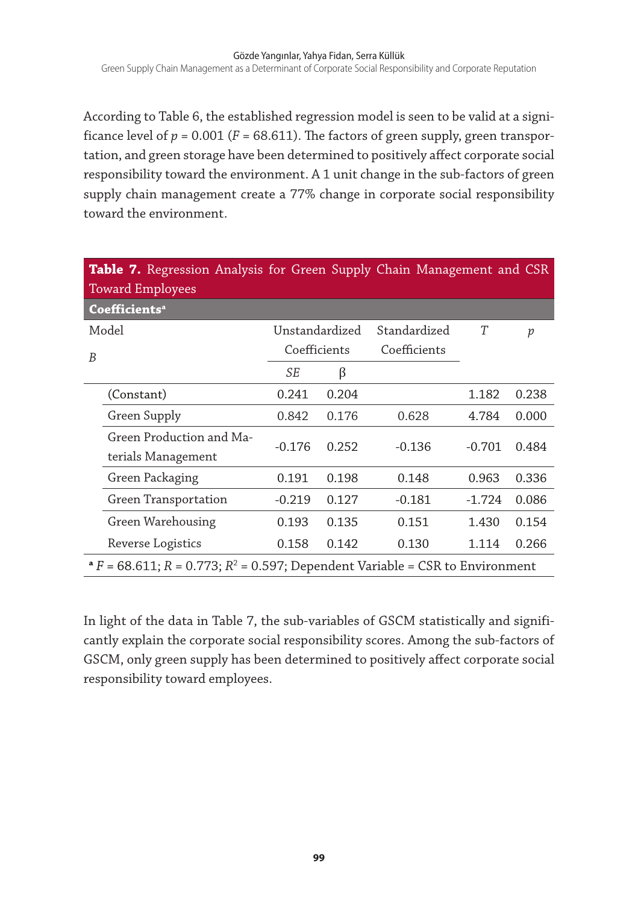According to Table 6, the established regression model is seen to be valid at a significance level of  $p = 0.001$  ( $F = 68.611$ ). The factors of green supply, green transportation, and green storage have been determined to positively affect corporate social responsibility toward the environment. A 1 unit change in the sub-factors of green supply chain management create a 77% change in corporate social responsibility toward the environment.

|   | <b>Table 7.</b> Regression Analysis for Green Supply Chain Management and CSR<br><b>Toward Employees</b> |              |                |              |          |                  |  |  |
|---|----------------------------------------------------------------------------------------------------------|--------------|----------------|--------------|----------|------------------|--|--|
|   | Coefficients <sup>a</sup>                                                                                |              |                |              |          |                  |  |  |
|   | Model                                                                                                    |              | Unstandardized | Standardized | T        | $\boldsymbol{p}$ |  |  |
| B |                                                                                                          | Coefficients |                | Coefficients |          |                  |  |  |
|   |                                                                                                          | SE           | β              |              |          |                  |  |  |
|   | (Constant)                                                                                               | 0.241        | 0.204          |              | 1.182    | 0.238            |  |  |
|   | Green Supply                                                                                             | 0.842        | 0.176          | 0.628        | 4.784    | 0.000            |  |  |
|   | Green Production and Ma-                                                                                 | $-0.176$     | 0.252          | $-0.136$     | $-0.701$ | 0.484            |  |  |
|   | terials Management                                                                                       |              |                |              |          |                  |  |  |
|   | Green Packaging                                                                                          | 0.191        | 0.198          | 0.148        | 0.963    | 0.336            |  |  |
|   | Green Transportation                                                                                     | $-0.219$     | 0.127          | $-0.181$     | $-1.724$ | 0.086            |  |  |
|   | Green Warehousing                                                                                        | 0.193        | 0.135          | 0.151        | 1.430    | 0.154            |  |  |
|   | Reverse Logistics                                                                                        | 0.158        | 0.142          | 0.130        | 1.114    | 0.266            |  |  |
|   | $P = 68.611$ ; $R = 0.773$ ; $R^2 = 0.597$ ; Dependent Variable = CSR to Environment                     |              |                |              |          |                  |  |  |

In light of the data in Table 7, the sub-variables of GSCM statistically and significantly explain the corporate social responsibility scores. Among the sub-factors of GSCM, only green supply has been determined to positively affect corporate social responsibility toward employees.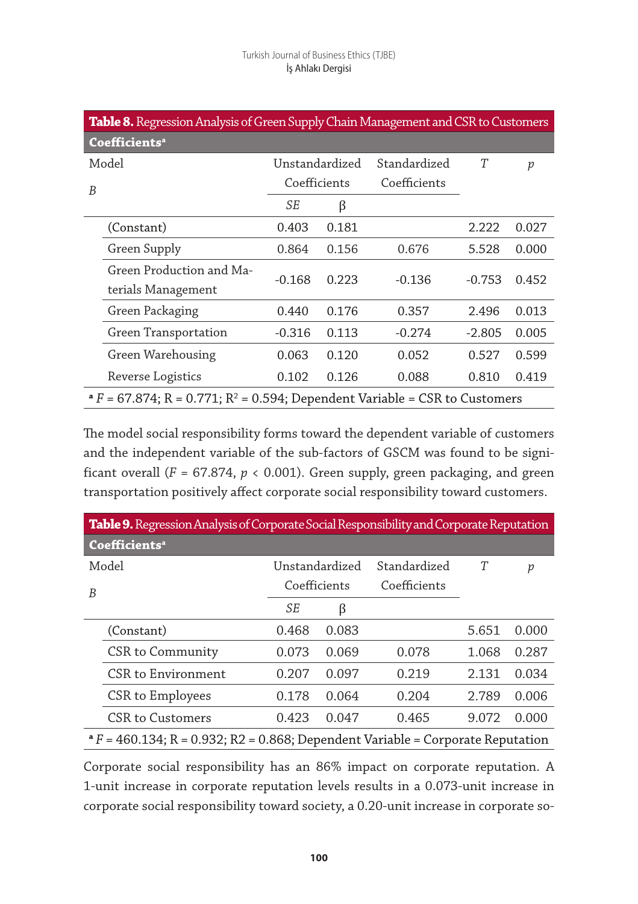|   | Table 8. Regression Analysis of Green Supply Chain Management and CSR to Customers         |                |       |              |          |                  |  |  |  |
|---|--------------------------------------------------------------------------------------------|----------------|-------|--------------|----------|------------------|--|--|--|
|   | Coefficients <sup>a</sup>                                                                  |                |       |              |          |                  |  |  |  |
|   | Model                                                                                      | Unstandardized |       | Standardized | T        | $\boldsymbol{p}$ |  |  |  |
| B |                                                                                            | Coefficients   |       | Coefficients |          |                  |  |  |  |
|   |                                                                                            | SE             | β     |              |          |                  |  |  |  |
|   | (Constant)                                                                                 | 0.403          | 0.181 |              | 2.222    | 0.027            |  |  |  |
|   | Green Supply                                                                               | 0.864          | 0.156 | 0.676        | 5.528    | 0.000            |  |  |  |
|   | Green Production and Ma-                                                                   | $-0.168$       | 0.223 | $-0.136$     | $-0.753$ | 0.452            |  |  |  |
|   | terials Management                                                                         |                |       |              |          |                  |  |  |  |
|   | Green Packaging                                                                            | 0.440          | 0.176 | 0.357        | 2.496    | 0.013            |  |  |  |
|   | Green Transportation                                                                       | $-0.316$       | 0.113 | $-0.274$     | $-2.805$ | 0.005            |  |  |  |
|   | Green Warehousing                                                                          | 0.063          | 0.120 | 0.052        | 0.527    | 0.599            |  |  |  |
|   | Reverse Logistics                                                                          | 0.102          | 0.126 | 0.088        | 0.810    | 0.419            |  |  |  |
|   | $P^*F = 67.874$ ; R = 0.771; R <sup>2</sup> = 0.594; Dependent Variable = CSR to Customers |                |       |              |          |                  |  |  |  |

The model social responsibility forms toward the dependent variable of customers and the independent variable of the sub-factors of GSCM was found to be significant overall ( $F = 67.874$ ,  $p < 0.001$ ). Green supply, green packaging, and green transportation positively affect corporate social responsibility toward customers.

|   | Table 9. Regression Analysis of Corporate Social Responsibility and Corporate Reputation |                |       |              |       |       |  |  |  |
|---|------------------------------------------------------------------------------------------|----------------|-------|--------------|-------|-------|--|--|--|
|   | Coefficients <sup>a</sup>                                                                |                |       |              |       |       |  |  |  |
|   | Model                                                                                    | Unstandardized |       | Standardized | T     | р     |  |  |  |
| B |                                                                                          | Coefficients   |       | Coefficients |       |       |  |  |  |
|   |                                                                                          | SE             | β     |              |       |       |  |  |  |
|   | (Constant)                                                                               | 0.468          | 0.083 |              | 5.651 | 0.000 |  |  |  |
|   | CSR to Community                                                                         | 0.073          | 0.069 | 0.078        | 1.068 | 0.287 |  |  |  |
|   | CSR to Environment                                                                       | 0.207          | 0.097 | 0.219        | 2.131 | 0.034 |  |  |  |
|   | CSR to Employees                                                                         | 0.178          | 0.064 | 0.204        | 2.789 | 0.006 |  |  |  |
|   | CSR to Customers                                                                         | 0.423          | 0.047 | 0.465        | 9.072 | 0.000 |  |  |  |
|   | $P = 460.134$ ; R = 0.932; R2 = 0.868; Dependent Variable = Corporate Reputation         |                |       |              |       |       |  |  |  |

Corporate social responsibility has an 86% impact on corporate reputation. A 1-unit increase in corporate reputation levels results in a 0.073-unit increase in corporate social responsibility toward society, a 0.20-unit increase in corporate so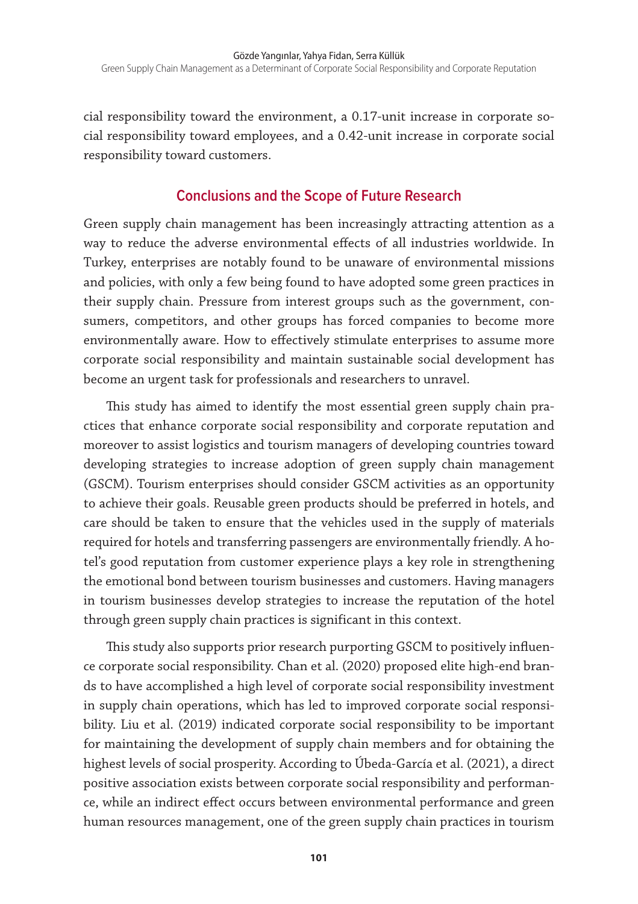cial responsibility toward the environment, a 0.17-unit increase in corporate social responsibility toward employees, and a 0.42-unit increase in corporate social responsibility toward customers.

## **Conclusions and the Scope of Future Research**

Green supply chain management has been increasingly attracting attention as a way to reduce the adverse environmental effects of all industries worldwide. In Turkey, enterprises are notably found to be unaware of environmental missions and policies, with only a few being found to have adopted some green practices in their supply chain. Pressure from interest groups such as the government, consumers, competitors, and other groups has forced companies to become more environmentally aware. How to effectively stimulate enterprises to assume more corporate social responsibility and maintain sustainable social development has become an urgent task for professionals and researchers to unravel.

This study has aimed to identify the most essential green supply chain practices that enhance corporate social responsibility and corporate reputation and moreover to assist logistics and tourism managers of developing countries toward developing strategies to increase adoption of green supply chain management (GSCM). Tourism enterprises should consider GSCM activities as an opportunity to achieve their goals. Reusable green products should be preferred in hotels, and care should be taken to ensure that the vehicles used in the supply of materials required for hotels and transferring passengers are environmentally friendly. A hotel's good reputation from customer experience plays a key role in strengthening the emotional bond between tourism businesses and customers. Having managers in tourism businesses develop strategies to increase the reputation of the hotel through green supply chain practices is significant in this context.

This study also supports prior research purporting GSCM to positively influence corporate social responsibility. Chan et al. (2020) proposed elite high-end brands to have accomplished a high level of corporate social responsibility investment in supply chain operations, which has led to improved corporate social responsibility. Liu et al. (2019) indicated corporate social responsibility to be important for maintaining the development of supply chain members and for obtaining the highest levels of social prosperity. According to Úbeda-García et al. (2021), a direct positive association exists between corporate social responsibility and performance, while an indirect effect occurs between environmental performance and green human resources management, one of the green supply chain practices in tourism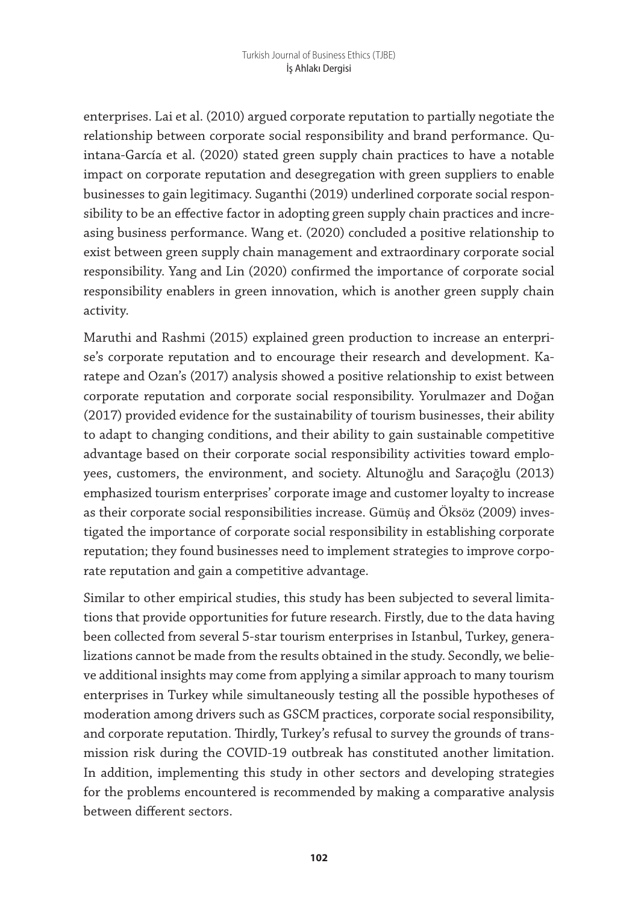enterprises. Lai et al. (2010) argued corporate reputation to partially negotiate the relationship between corporate social responsibility and brand performance. Quintana-García et al. (2020) stated green supply chain practices to have a notable impact on corporate reputation and desegregation with green suppliers to enable businesses to gain legitimacy. Suganthi (2019) underlined corporate social responsibility to be an effective factor in adopting green supply chain practices and increasing business performance. Wang et. (2020) concluded a positive relationship to exist between green supply chain management and extraordinary corporate social responsibility. Yang and Lin (2020) confirmed the importance of corporate social responsibility enablers in green innovation, which is another green supply chain activity.

Maruthi and Rashmi (2015) explained green production to increase an enterprise's corporate reputation and to encourage their research and development. Karatepe and Ozan's (2017) analysis showed a positive relationship to exist between corporate reputation and corporate social responsibility. Yorulmazer and Doğan (2017) provided evidence for the sustainability of tourism businesses, their ability to adapt to changing conditions, and their ability to gain sustainable competitive advantage based on their corporate social responsibility activities toward employees, customers, the environment, and society. Altunoğlu and Saraçoğlu (2013) emphasized tourism enterprises' corporate image and customer loyalty to increase as their corporate social responsibilities increase. Gümüş and Öksöz (2009) investigated the importance of corporate social responsibility in establishing corporate reputation; they found businesses need to implement strategies to improve corporate reputation and gain a competitive advantage.

Similar to other empirical studies, this study has been subjected to several limitations that provide opportunities for future research. Firstly, due to the data having been collected from several 5-star tourism enterprises in Istanbul, Turkey, generalizations cannot be made from the results obtained in the study. Secondly, we believe additional insights may come from applying a similar approach to many tourism enterprises in Turkey while simultaneously testing all the possible hypotheses of moderation among drivers such as GSCM practices, corporate social responsibility, and corporate reputation. Thirdly, Turkey's refusal to survey the grounds of transmission risk during the COVID-19 outbreak has constituted another limitation. In addition, implementing this study in other sectors and developing strategies for the problems encountered is recommended by making a comparative analysis between different sectors.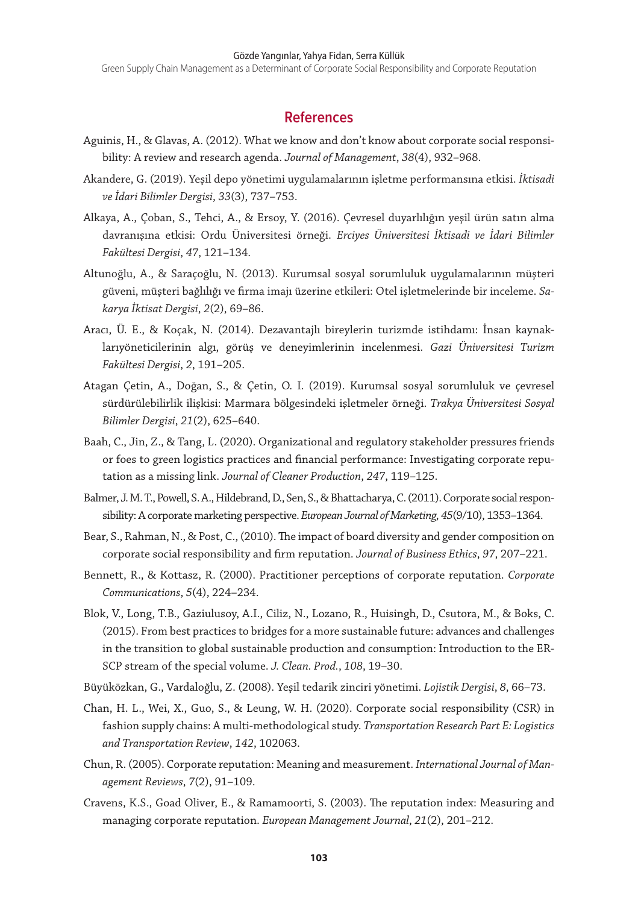Green Supply Chain Management as a Determinant of Corporate Social Responsibility and Corporate Reputation

#### **References**

- Aguinis, H., & Glavas, A. (2012). What we know and don't know about corporate social responsibility: A review and research agenda. *Journal of Management*, *38*(4), 932–968.
- Akandere, G. (2019). Yeşil depo yönetimi uygulamalarının işletme performansına etkisi. *İktisadi ve İdari Bilimler Dergisi*, *33*(3), 737–753.
- Alkaya, A., Çoban, S., Tehci, A., & Ersoy, Y. (2016). Çevresel duyarlılığın yeşil ürün satın alma davranışına etkisi: Ordu Üniversitesi örneği. *Erciyes Üniversitesi İktisadi ve İdari Bilimler Fakültesi Dergisi*, *47*, 121–134.
- Altunoğlu, A., & Saraçoğlu, N. (2013). Kurumsal sosyal sorumluluk uygulamalarının müşteri güveni, müşteri bağlılığı ve firma imajı üzerine etkileri: Otel işletmelerinde bir inceleme. *Sakarya İktisat Dergisi*, *2*(2), 69–86.
- Aracı, Ü. E., & Koçak, N. (2014). Dezavantajlı bireylerin turizmde istihdamı: İnsan kaynaklarıyöneticilerinin algı, görüş ve deneyimlerinin incelenmesi. *Gazi Üniversitesi Turizm Fakültesi Dergisi*, *2*, 191–205.
- Atagan Çetin, A., Doğan, S., & Çetin, O. I. (2019). Kurumsal sosyal sorumluluk ve çevresel sürdürülebilirlik ilişkisi: Marmara bölgesindeki işletmeler örneği. *Trakya Üniversitesi Sosyal Bilimler Dergisi*, *21*(2), 625–640.
- Baah, C., Jin, Z., & Tang, L. (2020). Organizational and regulatory stakeholder pressures friends or foes to green logistics practices and financial performance: Investigating corporate reputation as a missing link. *Journal of Cleaner Production*, *247*, 119–125.
- Balmer, J. M. T., Powell, S. A., Hildebrand, D., Sen, S., & Bhattacharya, C. (2011). Corporate social responsibility: A corporate marketing perspective. *European Journal of Marketing*, *45*(9/10), 1353–1364.
- Bear, S., Rahman, N., & Post, C., (2010). The impact of board diversity and gender composition on corporate social responsibility and firm reputation. *Journal of Business Ethics*, *97*, 207–221.
- Bennett, R., & Kottasz, R. (2000). Practitioner perceptions of corporate reputation. *Corporate Communications*, *5*(4), 224–234.
- Blok, V., Long, T.B., Gaziulusoy, A.I., Ciliz, N., Lozano, R., Huisingh, D., Csutora, M., & Boks, C. (2015). From best practices to bridges for a more sustainable future: advances and challenges in the transition to global sustainable production and consumption: Introduction to the ER-SCP stream of the special volume. *J. Clean. Prod.*, *108*, 19–30.
- Büyüközkan, G., Vardaloğlu, Z. (2008). Yeşil tedarik zinciri yönetimi. *Lojistik Dergisi*, *8*, 66–73.
- Chan, H. L., Wei, X., Guo, S., & Leung, W. H. (2020). Corporate social responsibility (CSR) in fashion supply chains: A multi-methodological study. *Transportation Research Part E: Logistics and Transportation Review*, *142*, 102063.
- Chun, R. (2005). Corporate reputation: Meaning and measurement. *International Journal of Management Reviews*, *7*(2), 91–109.
- Cravens, K.S., Goad Oliver, E., & Ramamoorti, S. (2003). The reputation index: Measuring and managing corporate reputation. *European Management Journal*, *21*(2), 201–212.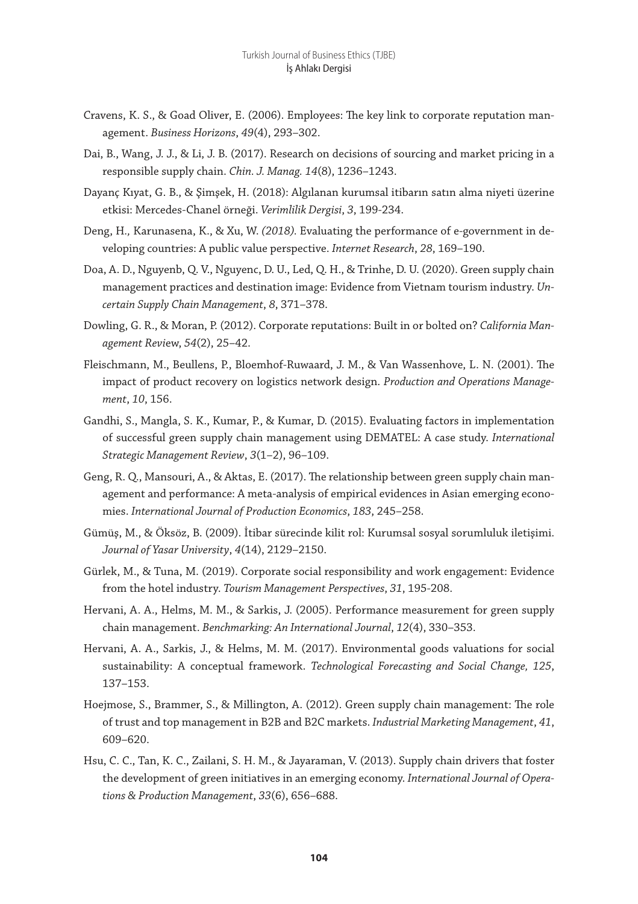- Cravens, K. S., & Goad Oliver, E. (2006). Employees: The key link to corporate reputation management. *Business Horizons*, *49*(4), 293–302.
- Dai, B., Wang, J. J., & Li, J. B. (2017). Research on decisions of sourcing and market pricing in a responsible supply chain. *Chin. J. Manag. 14*(8), 1236–1243.
- Dayanç Kıyat, G. B., & Şimşek, H. (2018): Algılanan kurumsal itibarın satın alma niyeti üzerine etkisi: Mercedes-Chanel örneği. *Verimlilik Dergisi*, *3*, 199-234.
- Deng, H*.,* Karunasena, K., & Xu, W. *(2018).* Evaluating the performance of e-government in developing countries: A public value perspective. *Internet Research*, *28*, 169–190.
- Doa, A. D., Nguyenb, Q. V., Nguyenc, D. U., Led, Q. H., & Trinhe, D. U. (2020). Green supply chain management practices and destination image: Evidence from Vietnam tourism industry. *Uncertain Supply Chain Management*, *8*, 371–378.
- Dowling, G. R., & Moran, P. (2012). Corporate reputations: Built in or bolted on? *California Management Revi*ew, *54*(2), 25–42.
- Fleischmann, M., Beullens, P., Bloemhof-Ruwaard, J. M., & Van Wassenhove, L. N. (2001). The impact of product recovery on logistics network design. *Production and Operations Management*, *10*, 156.
- Gandhi, S., Mangla, S. K., Kumar, P., & Kumar, D. (2015). Evaluating factors in implementation of successful green supply chain management using DEMATEL: A case study. *International Strategic Management Review*, *3*(1–2), 96–109.
- Geng, R. Q., Mansouri, A., & Aktas, E. (2017). The relationship between green supply chain management and performance: A meta-analysis of empirical evidences in Asian emerging economies. *International Journal of Production Economics*, *183*, 245–258.
- Gümüş, M., & Öksöz, B. (2009). İtibar sürecinde kilit rol: Kurumsal sosyal sorumluluk iletişimi. *Journal of Yasar University*, *4*(14), 2129–2150.
- Gürlek, M., & Tuna, M. (2019). Corporate social responsibility and work engagement: Evidence from the hotel industry. *Tourism Management Perspectives*, *31*, 195-208.
- Hervani, A. A., Helms, M. M., & Sarkis, J. (2005). Performance measurement for green supply chain management. *Benchmarking: An International Journal*, *12*(4), 330–353.
- Hervani, A. A., Sarkis, J., & Helms, M. M. (2017). Environmental goods valuations for social sustainability: A conceptual framework. *Technological Forecasting and Social Change, 125*, 137–153.
- Hoejmose, S., Brammer, S., & Millington, A. (2012). Green supply chain management: The role of trust and top management in B2B and B2C markets. *Industrial Marketing Management*, *41*, 609–620.
- Hsu, C. C., Tan, K. C., Zailani, S. H. M., & Jayaraman, V. (2013). Supply chain drivers that foster the development of green initiatives in an emerging economy. *International Journal of Operations & Production Management*, *33*(6), 656–688.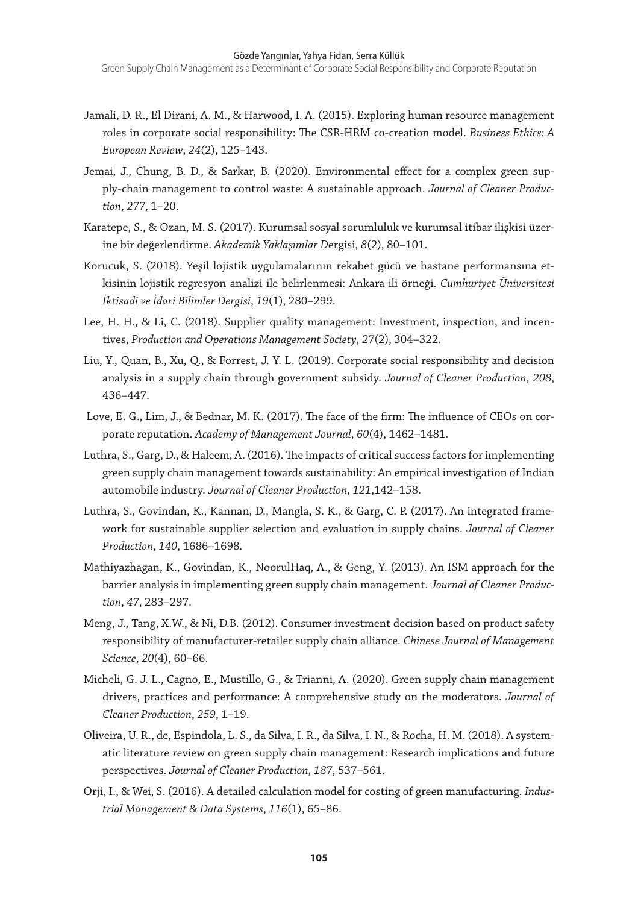- Jamali, D. R., El Dirani, A. M., & Harwood, I. A. (2015). Exploring human resource management roles in corporate social responsibility: The CSR-HRM co-creation model. *Business Ethics: A European Review*, *24*(2), 125–143.
- Jemai, J., Chung, B. D., & Sarkar, B. (2020). Environmental effect for a complex green supply-chain management to control waste: A sustainable approach. *Journal of Cleaner Production*, *277*, 1–20.
- Karatepe, S., & Ozan, M. S. (2017). Kurumsal sosyal sorumluluk ve kurumsal itibar ilişkisi üzerine bir değerlendirme. *Akademik Yaklaşımlar D*ergisi, *8*(2), 80–101.
- Korucuk, S. (2018). Yeşil lojistik uygulamalarının rekabet gücü ve hastane performansına etkisinin lojistik regresyon analizi ile belirlenmesi: Ankara ili örneği. *Cumhuriyet Üniversitesi İktisadi ve İdari Bilimler Dergisi*, *19*(1), 280–299.
- Lee, H. H., & Li, C. (2018). Supplier quality management: Investment, inspection, and incentives, *Production and Operations Management Society*, *27*(2), 304–322.
- Liu, Y., Quan, B., Xu, Q., & Forrest, J. Y. L. (2019). Corporate social responsibility and decision analysis in a supply chain through government subsidy. *Journal of Cleaner Production*, *208*, 436–447.
- Love, E. G., Lim, J., & Bednar, M. K. (2017). The face of the firm: The influence of CEOs on corporate reputation. *Academy of Management Journal*, *60*(4), 1462–1481.
- Luthra, S., Garg, D., & Haleem, A. (2016). The impacts of critical success factors for implementing green supply chain management towards sustainability: An empirical investigation of Indian automobile industry. *Journal of Cleaner Production*, *121*,142–158.
- Luthra, S., Govindan, K., Kannan, D., Mangla, S. K., & Garg, C. P. (2017). An integrated framework for sustainable supplier selection and evaluation in supply chains. *Journal of Cleaner Production*, *140*, 1686–1698.
- Mathiyazhagan, K., Govindan, K., NoorulHaq, A., & Geng, Y. (2013). An ISM approach for the barrier analysis in implementing green supply chain management. *Journal of Cleaner Production*, *47*, 283–297.
- Meng, J., Tang, X.W., & Ni, D.B. (2012). Consumer investment decision based on product safety responsibility of manufacturer-retailer supply chain alliance. *Chinese Journal of Management Science*, *20*(4), 60–66.
- Micheli, G. J. L., Cagno, E., Mustillo, G., & Trianni, A. (2020). Green supply chain management drivers, practices and performance: A comprehensive study on the moderators. *Journal of Cleaner Production*, *259*, 1–19.
- Oliveira, U. R., de, Espindola, L. S., da Silva, I. R., da Silva, I. N., & Rocha, H. M. (2018). A systematic literature review on green supply chain management: Research implications and future perspectives. *Journal of Cleaner Production*, *187*, 537–561.
- Orji, I., & Wei, S. (2016). A detailed calculation model for costing of green manufacturing. *Industrial Management & Data Systems*, *116*(1), 65–86.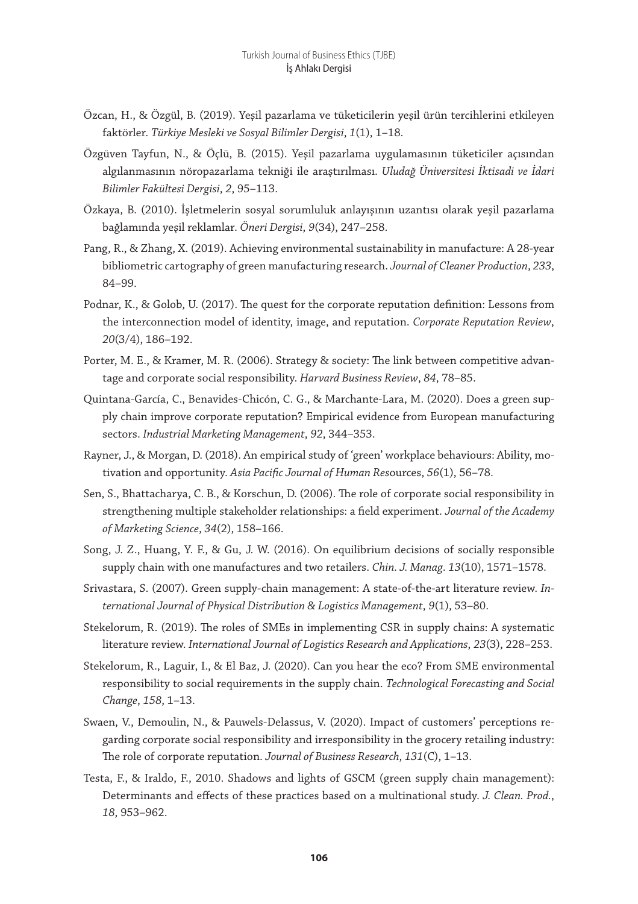- Özcan, H., & Özgül, B. (2019). Yeşil pazarlama ve tüketicilerin yeşil ürün tercihlerini etkileyen faktörler. *Türkiye Mesleki ve Sosyal Bilimler Dergisi*, *1*(1), 1–18.
- Özgüven Tayfun, N., & Öçlü, B. (2015). Yeşil pazarlama uygulamasının tüketiciler açısından algılanmasının nöropazarlama tekniği ile araştırılması. *Uludağ Üniversitesi İktisadi ve İdari Bilimler Fakültesi Dergisi*, *2*, 95–113.
- Özkaya, B. (2010). İşletmelerin sosyal sorumluluk anlayışının uzantısı olarak yeşil pazarlama bağlamında yeşil reklamlar. *Öneri Dergisi*, *9*(34), 247–258.
- Pang, R., & Zhang, X. (2019). Achieving environmental sustainability in manufacture: A 28-year bibliometric cartography of green manufacturing research. *Journal of Cleaner Production*, *233*, 84–99.
- Podnar, K., & Golob, U. (2017). The quest for the corporate reputation definition: Lessons from the interconnection model of identity, image, and reputation. *Corporate Reputation Review*, *20*(3/4), 186–192.
- Porter, M. E., & Kramer, M. R. (2006). Strategy & society: The link between competitive advantage and corporate social responsibility. *Harvard Business Review*, *84*, 78–85.
- Quintana-García, C., Benavides-Chicón, C. G., & Marchante-Lara, M. (2020). Does a green supply chain improve corporate reputation? Empirical evidence from European manufacturing sectors. *Industrial Marketing Management*, *92*, 344–353.
- Rayner, J., & Morgan, D. (2018). An empirical study of 'green' workplace behaviours: Ability, motivation and opportunity. *Asia Pacific Journal of Human Res*ources, *56*(1), 56–78.
- Sen, S., Bhattacharya, C. B., & Korschun, D. (2006). The role of corporate social responsibility in strengthening multiple stakeholder relationships: a field experiment. *Journal of the Academy of Marketing Science*, *34*(2), 158–166.
- Song, J. Z., Huang, Y. F., & Gu, J. W. (2016). On equilibrium decisions of socially responsible supply chain with one manufactures and two retailers. *Chin. J. Manag*. *13*(10), 1571–1578.
- Srivastara, S. (2007). Green supply-chain management: A state-of-the-art literature review. *International Journal of Physical Distribution & Logistics Management*, *9*(1), 53–80.
- Stekelorum, R. (2019). The roles of SMEs in implementing CSR in supply chains: A systematic literature review. *International Journal of Logistics Research and Applications*, *23*(3), 228–253.
- Stekelorum, R., Laguir, I., & El Baz, J. (2020). Can you hear the eco? From SME environmental responsibility to social requirements in the supply chain. *Technological Forecasting and Social Change*, *158*, 1–13.
- Swaen, V., Demoulin, N., & Pauwels-Delassus, V. (2020). Impact of customers' perceptions regarding corporate social responsibility and irresponsibility in the grocery retailing industry: The role of corporate reputation. *Journal of Business Research*, *131*(C), 1–13.
- Testa, F., & Iraldo, F., 2010. Shadows and lights of GSCM (green supply chain management): Determinants and effects of these practices based on a multinational study. *J. Clean. Prod.*, *18*, 953–962.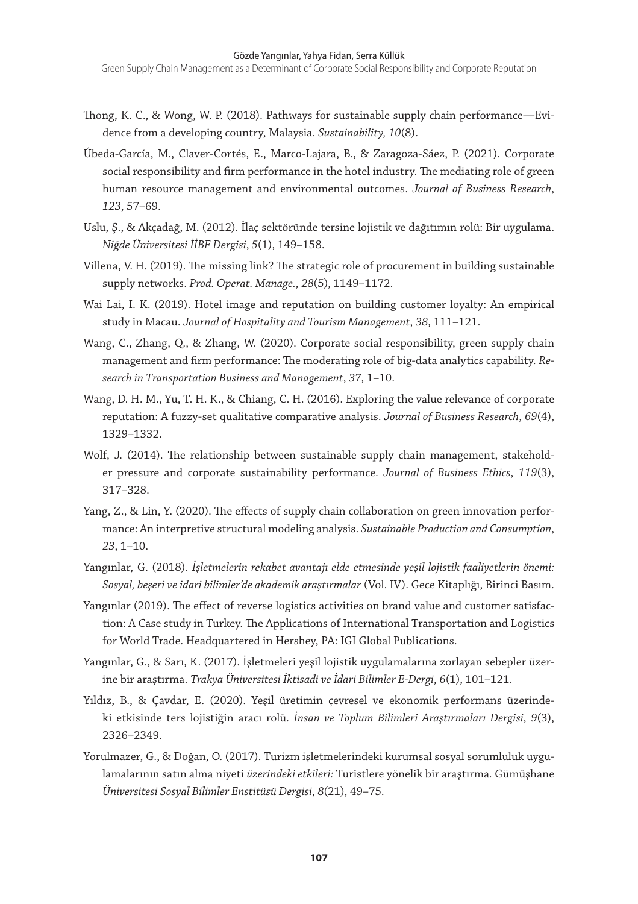Green Supply Chain Management as a Determinant of Corporate Social Responsibility and Corporate Reputation

- Thong, K. C., & Wong, W. P. (2018). Pathways for sustainable supply chain performance—Evidence from a developing country, Malaysia. *Sustainability, 10*(8).
- Úbeda-García, M., Claver-Cortés, E., Marco-Lajara, B., & Zaragoza-Sáez, P. (2021). Corporate social responsibility and firm performance in the hotel industry. The mediating role of green human resource management and environmental outcomes. *Journal of Business Research*, *123*, 57–69.
- Uslu, Ş., & Akçadağ, M. (2012). İlaç sektöründe tersine lojistik ve dağıtımın rolü: Bir uygulama. *Niğde Üniversitesi İİBF Dergisi*, *5*(1), 149–158.
- Villena, V. H. (2019). The missing link? The strategic role of procurement in building sustainable supply networks. *Prod. Operat. Manage.*, *28*(5), 1149–1172.
- Wai Lai, I. K. (2019). Hotel image and reputation on building customer loyalty: An empirical study in Macau. *Journal of Hospitality and Tourism Management*, *38*, 111–121.
- Wang, C., Zhang, Q., & Zhang, W. (2020). Corporate social responsibility, green supply chain management and firm performance: The moderating role of big-data analytics capability. *Research in Transportation Business and Management*, *37*, 1–10.
- Wang, D. H. M., Yu, T. H. K., & Chiang, C. H. (2016). Exploring the value relevance of corporate reputation: A fuzzy-set qualitative comparative analysis. *Journal of Business Research*, *69*(4), 1329–1332.
- Wolf, J. (2014). The relationship between sustainable supply chain management, stakeholder pressure and corporate sustainability performance. *Journal of Business Ethics*, *119*(3), 317–328.
- Yang, Z., & Lin, Y. (2020). The effects of supply chain collaboration on green innovation performance: An interpretive structural modeling analysis. *Sustainable Production and Consumption*, *23*, 1–10.
- Yangınlar, G. (2018). *İşletmelerin rekabet avantajı elde etmesinde yeşil lojistik faaliyetlerin önemi: Sosyal, beşeri ve idari bilimler'de akademik araştırmalar* (Vol. IV). Gece Kitaplığı, Birinci Basım.
- Yangınlar (2019). The effect of reverse logistics activities on brand value and customer satisfaction: A Case study in Turkey. The Applications of International Transportation and Logistics for World Trade. Headquartered in Hershey, PA: IGI Global Publications.
- Yangınlar, G., & Sarı, K. (2017). İşletmeleri yeşil lojistik uygulamalarına zorlayan sebepler üzerine bir araştırma. *Trakya Üniversitesi İktisadi ve İdari Bilimler E-Dergi*, *6*(1), 101–121.
- Yıldız, B., & Çavdar, E. (2020). Yeşil üretimin çevresel ve ekonomik performans üzerindeki etkisinde ters lojistiğin aracı rolü. *İnsan ve Toplum Bilimleri Araştırmaları Dergisi*, *9*(3), 2326–2349.
- Yorulmazer, G., & Doğan, O. (2017). Turizm işletmelerindeki kurumsal sosyal sorumluluk uygulamalarının satın alma niyeti *üzerindeki etkileri:* Turistlere yönelik bir araştırma*.* Gümüşhane *Üniversitesi Sosyal Bilimler Enstitüsü Dergisi*, *8*(21), 49–75.